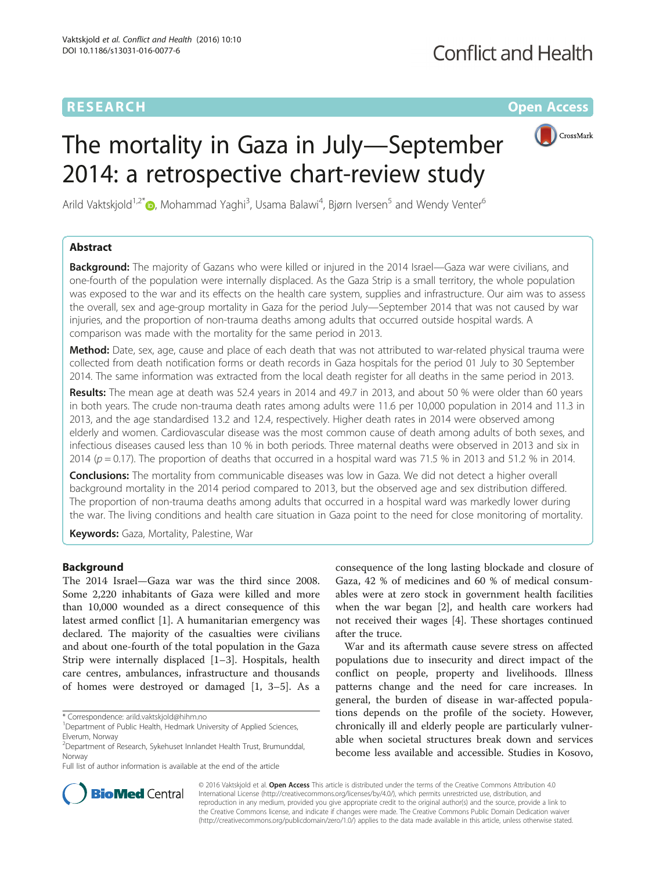# **RESEARCH CHE Open Access**



# The mortality in Gaza in July—September 2014: a retrospective chart-review study

Arild Vaktskjold<sup>1[,](http://orcid.org/0000-0002-2275-8432)2\*</sup>®, Mohammad Yaghi<sup>3</sup>, Usama Balawi<sup>4</sup>, Bjørn Iversen<sup>5</sup> and Wendy Venter<sup>6</sup>

## Abstract

**Background:** The majority of Gazans who were killed or injured in the 2014 Israel—Gaza war were civilians, and one-fourth of the population were internally displaced. As the Gaza Strip is a small territory, the whole population was exposed to the war and its effects on the health care system, supplies and infrastructure. Our aim was to assess the overall, sex and age-group mortality in Gaza for the period July—September 2014 that was not caused by war injuries, and the proportion of non-trauma deaths among adults that occurred outside hospital wards. A comparison was made with the mortality for the same period in 2013.

Method: Date, sex, age, cause and place of each death that was not attributed to war-related physical trauma were collected from death notification forms or death records in Gaza hospitals for the period 01 July to 30 September 2014. The same information was extracted from the local death register for all deaths in the same period in 2013.

Results: The mean age at death was 52.4 years in 2014 and 49.7 in 2013, and about 50 % were older than 60 years in both years. The crude non-trauma death rates among adults were 11.6 per 10,000 population in 2014 and 11.3 in 2013, and the age standardised 13.2 and 12.4, respectively. Higher death rates in 2014 were observed among elderly and women. Cardiovascular disease was the most common cause of death among adults of both sexes, and infectious diseases caused less than 10 % in both periods. Three maternal deaths were observed in 2013 and six in 2014 ( $p = 0.17$ ). The proportion of deaths that occurred in a hospital ward was 71.5 % in 2013 and 51.2 % in 2014.

**Conclusions:** The mortality from communicable diseases was low in Gaza. We did not detect a higher overall background mortality in the 2014 period compared to 2013, but the observed age and sex distribution differed. The proportion of non-trauma deaths among adults that occurred in a hospital ward was markedly lower during the war. The living conditions and health care situation in Gaza point to the need for close monitoring of mortality.

Keywords: Gaza, Mortality, Palestine, War

## Background

The 2014 Israel—Gaza war was the third since 2008. Some 2,220 inhabitants of Gaza were killed and more than 10,000 wounded as a direct consequence of this latest armed conflict [[1\]](#page-8-0). A humanitarian emergency was declared. The majority of the casualties were civilians and about one-fourth of the total population in the Gaza Strip were internally displaced [\[1](#page-8-0)–[3](#page-8-0)]. Hospitals, health care centres, ambulances, infrastructure and thousands of homes were destroyed or damaged [\[1, 3](#page-8-0)–[5](#page-8-0)]. As a

\* Correspondence: [arild.vaktskjold@hihm.no](mailto:arild.vaktskjold@hihm.no) <sup>1</sup>

consequence of the long lasting blockade and closure of Gaza, 42 % of medicines and 60 % of medical consumables were at zero stock in government health facilities when the war began [\[2](#page-8-0)], and health care workers had not received their wages [\[4](#page-8-0)]. These shortages continued after the truce.

War and its aftermath cause severe stress on affected populations due to insecurity and direct impact of the conflict on people, property and livelihoods. Illness patterns change and the need for care increases. In general, the burden of disease in war-affected populations depends on the profile of the society. However, chronically ill and elderly people are particularly vulnerable when societal structures break down and services become less available and accessible. Studies in Kosovo,



© 2016 Vaktskiold et al. Open Access This article is distributed under the terms of the Creative Commons Attribution 4.0 International License [\(http://creativecommons.org/licenses/by/4.0/](http://creativecommons.org/licenses/by/4.0/)), which permits unrestricted use, distribution, and reproduction in any medium, provided you give appropriate credit to the original author(s) and the source, provide a link to the Creative Commons license, and indicate if changes were made. The Creative Commons Public Domain Dedication waiver [\(http://creativecommons.org/publicdomain/zero/1.0/](http://creativecommons.org/publicdomain/zero/1.0/)) applies to the data made available in this article, unless otherwise stated.

<sup>&</sup>lt;sup>1</sup>Department of Public Health, Hedmark University of Applied Sciences, Elverum, Norway

<sup>2</sup> Department of Research, Sykehuset Innlandet Health Trust, Brumunddal, Norway

Full list of author information is available at the end of the article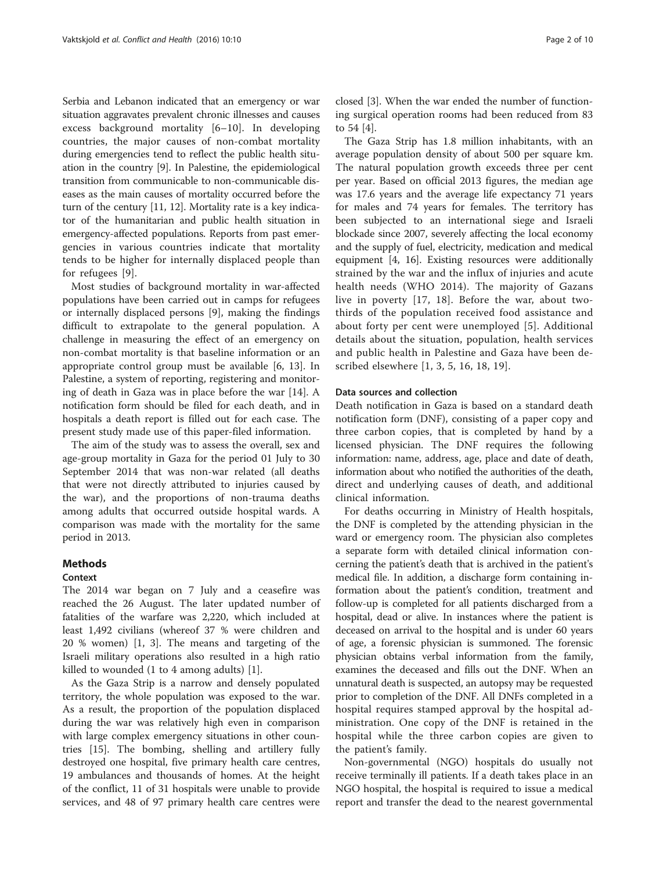Serbia and Lebanon indicated that an emergency or war situation aggravates prevalent chronic illnesses and causes excess background mortality [\[6](#page-8-0)–[10](#page-8-0)]. In developing countries, the major causes of non-combat mortality during emergencies tend to reflect the public health situation in the country [\[9](#page-8-0)]. In Palestine, the epidemiological transition from communicable to non-communicable diseases as the main causes of mortality occurred before the turn of the century [\[11](#page-8-0), [12\]](#page-8-0). Mortality rate is a key indicator of the humanitarian and public health situation in emergency-affected populations. Reports from past emergencies in various countries indicate that mortality tends to be higher for internally displaced people than for refugees [[9\]](#page-8-0).

Most studies of background mortality in war-affected populations have been carried out in camps for refugees or internally displaced persons [[9](#page-8-0)], making the findings difficult to extrapolate to the general population. A challenge in measuring the effect of an emergency on non-combat mortality is that baseline information or an appropriate control group must be available [\[6, 13](#page-8-0)]. In Palestine, a system of reporting, registering and monitoring of death in Gaza was in place before the war [\[14\]](#page-8-0). A notification form should be filed for each death, and in hospitals a death report is filled out for each case. The present study made use of this paper-filed information.

The aim of the study was to assess the overall, sex and age-group mortality in Gaza for the period 01 July to 30 September 2014 that was non-war related (all deaths that were not directly attributed to injuries caused by the war), and the proportions of non-trauma deaths among adults that occurred outside hospital wards. A comparison was made with the mortality for the same period in 2013.

## Methods

#### Context

The 2014 war began on 7 July and a ceasefire was reached the 26 August. The later updated number of fatalities of the warfare was 2,220, which included at least 1,492 civilians (whereof 37 % were children and 20 % women) [\[1](#page-8-0), [3](#page-8-0)]. The means and targeting of the Israeli military operations also resulted in a high ratio killed to wounded (1 to 4 among adults) [\[1](#page-8-0)].

As the Gaza Strip is a narrow and densely populated territory, the whole population was exposed to the war. As a result, the proportion of the population displaced during the war was relatively high even in comparison with large complex emergency situations in other countries [\[15](#page-8-0)]. The bombing, shelling and artillery fully destroyed one hospital, five primary health care centres, 19 ambulances and thousands of homes. At the height of the conflict, 11 of 31 hospitals were unable to provide services, and 48 of 97 primary health care centres were

closed [\[3](#page-8-0)]. When the war ended the number of functioning surgical operation rooms had been reduced from 83 to 54 [[4\]](#page-8-0).

The Gaza Strip has 1.8 million inhabitants, with an average population density of about 500 per square km. The natural population growth exceeds three per cent per year. Based on official 2013 figures, the median age was 17.6 years and the average life expectancy 71 years for males and 74 years for females. The territory has been subjected to an international siege and Israeli blockade since 2007, severely affecting the local economy and the supply of fuel, electricity, medication and medical equipment [\[4, 16\]](#page-8-0). Existing resources were additionally strained by the war and the influx of injuries and acute health needs (WHO 2014). The majority of Gazans live in poverty [\[17](#page-8-0), [18](#page-8-0)]. Before the war, about twothirds of the population received food assistance and about forty per cent were unemployed [[5](#page-8-0)]. Additional details about the situation, population, health services and public health in Palestine and Gaza have been described elsewhere [[1](#page-8-0), [3](#page-8-0), [5, 16](#page-8-0), [18, 19](#page-8-0)].

#### Data sources and collection

Death notification in Gaza is based on a standard death notification form (DNF), consisting of a paper copy and three carbon copies, that is completed by hand by a licensed physician. The DNF requires the following information: name, address, age, place and date of death, information about who notified the authorities of the death, direct and underlying causes of death, and additional clinical information.

For deaths occurring in Ministry of Health hospitals, the DNF is completed by the attending physician in the ward or emergency room. The physician also completes a separate form with detailed clinical information concerning the patient's death that is archived in the patient's medical file. In addition, a discharge form containing information about the patient's condition, treatment and follow-up is completed for all patients discharged from a hospital, dead or alive. In instances where the patient is deceased on arrival to the hospital and is under 60 years of age, a forensic physician is summoned. The forensic physician obtains verbal information from the family, examines the deceased and fills out the DNF. When an unnatural death is suspected, an autopsy may be requested prior to completion of the DNF. All DNFs completed in a hospital requires stamped approval by the hospital administration. One copy of the DNF is retained in the hospital while the three carbon copies are given to the patient's family.

Non-governmental (NGO) hospitals do usually not receive terminally ill patients. If a death takes place in an NGO hospital, the hospital is required to issue a medical report and transfer the dead to the nearest governmental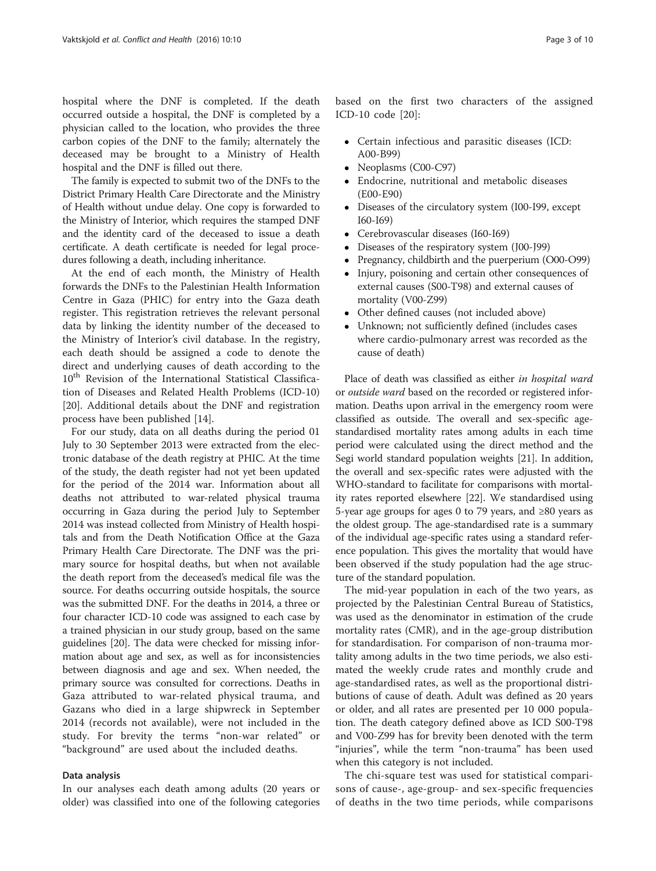hospital where the DNF is completed. If the death occurred outside a hospital, the DNF is completed by a physician called to the location, who provides the three carbon copies of the DNF to the family; alternately the deceased may be brought to a Ministry of Health hospital and the DNF is filled out there.

The family is expected to submit two of the DNFs to the District Primary Health Care Directorate and the Ministry of Health without undue delay. One copy is forwarded to the Ministry of Interior, which requires the stamped DNF and the identity card of the deceased to issue a death certificate. A death certificate is needed for legal procedures following a death, including inheritance.

At the end of each month, the Ministry of Health forwards the DNFs to the Palestinian Health Information Centre in Gaza (PHIC) for entry into the Gaza death register. This registration retrieves the relevant personal data by linking the identity number of the deceased to the Ministry of Interior's civil database. In the registry, each death should be assigned a code to denote the direct and underlying causes of death according to the 10<sup>th</sup> Revision of the International Statistical Classification of Diseases and Related Health Problems (ICD-10) [[20\]](#page-8-0). Additional details about the DNF and registration process have been published [\[14](#page-8-0)].

For our study, data on all deaths during the period 01 July to 30 September 2013 were extracted from the electronic database of the death registry at PHIC. At the time of the study, the death register had not yet been updated for the period of the 2014 war. Information about all deaths not attributed to war-related physical trauma occurring in Gaza during the period July to September 2014 was instead collected from Ministry of Health hospitals and from the Death Notification Office at the Gaza Primary Health Care Directorate. The DNF was the primary source for hospital deaths, but when not available the death report from the deceased's medical file was the source. For deaths occurring outside hospitals, the source was the submitted DNF. For the deaths in 2014, a three or four character ICD-10 code was assigned to each case by a trained physician in our study group, based on the same guidelines [\[20\]](#page-8-0). The data were checked for missing information about age and sex, as well as for inconsistencies between diagnosis and age and sex. When needed, the primary source was consulted for corrections. Deaths in Gaza attributed to war-related physical trauma, and Gazans who died in a large shipwreck in September 2014 (records not available), were not included in the study. For brevity the terms "non-war related" or "background" are used about the included deaths.

#### Data analysis

In our analyses each death among adults (20 years or older) was classified into one of the following categories

based on the first two characters of the assigned ICD-10 code [\[20](#page-8-0)]:

- Certain infectious and parasitic diseases (ICD: A00-B99)
- Neoplasms (C00-C97)<br>• Endocrine, nutritional
- Endocrine, nutritional and metabolic diseases (E00-E90)
- Diseases of the circulatory system (I00-I99, except I60-I69)
- Cerebrovascular diseases (I60-I69)
- Diseases of the respiratory system (J00-J99)
- Pregnancy, childbirth and the puerperium (O00-O99)
- Injury, poisoning and certain other consequences of external causes (S00-T98) and external causes of mortality (V00-Z99)
- Other defined causes (not included above)
- Unknown; not sufficiently defined (includes cases where cardio-pulmonary arrest was recorded as the cause of death)

Place of death was classified as either in hospital ward or outside ward based on the recorded or registered information. Deaths upon arrival in the emergency room were classified as outside. The overall and sex-specific agestandardised mortality rates among adults in each time period were calculated using the direct method and the Segi world standard population weights [\[21\]](#page-8-0). In addition, the overall and sex-specific rates were adjusted with the WHO-standard to facilitate for comparisons with mortality rates reported elsewhere [\[22\]](#page-8-0). We standardised using 5-year age groups for ages 0 to 79 years, and ≥80 years as the oldest group. The age-standardised rate is a summary of the individual age-specific rates using a standard reference population. This gives the mortality that would have been observed if the study population had the age structure of the standard population.

The mid-year population in each of the two years, as projected by the Palestinian Central Bureau of Statistics, was used as the denominator in estimation of the crude mortality rates (CMR), and in the age-group distribution for standardisation. For comparison of non-trauma mortality among adults in the two time periods, we also estimated the weekly crude rates and monthly crude and age-standardised rates, as well as the proportional distributions of cause of death. Adult was defined as 20 years or older, and all rates are presented per 10 000 population. The death category defined above as ICD S00-T98 and V00-Z99 has for brevity been denoted with the term "injuries", while the term "non-trauma" has been used when this category is not included.

The chi-square test was used for statistical comparisons of cause-, age-group- and sex-specific frequencies of deaths in the two time periods, while comparisons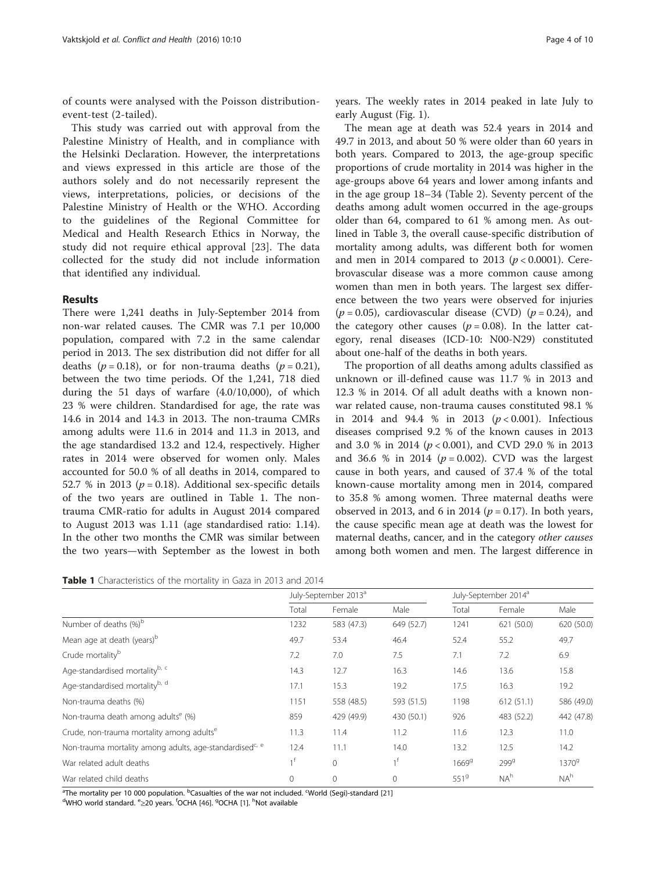<span id="page-3-0"></span>of counts were analysed with the Poisson distributionevent-test (2-tailed).

This study was carried out with approval from the Palestine Ministry of Health, and in compliance with the Helsinki Declaration. However, the interpretations and views expressed in this article are those of the authors solely and do not necessarily represent the views, interpretations, policies, or decisions of the Palestine Ministry of Health or the WHO. According to the guidelines of the Regional Committee for Medical and Health Research Ethics in Norway, the study did not require ethical approval [[23\]](#page-8-0). The data collected for the study did not include information that identified any individual.

## Results

There were 1,241 deaths in July-September 2014 from non-war related causes. The CMR was 7.1 per 10,000 population, compared with 7.2 in the same calendar period in 2013. The sex distribution did not differ for all deaths ( $p = 0.18$ ), or for non-trauma deaths ( $p = 0.21$ ), between the two time periods. Of the 1,241, 718 died during the 51 days of warfare (4.0/10,000), of which 23 % were children. Standardised for age, the rate was 14.6 in 2014 and 14.3 in 2013. The non-trauma CMRs among adults were 11.6 in 2014 and 11.3 in 2013, and the age standardised 13.2 and 12.4, respectively. Higher rates in 2014 were observed for women only. Males accounted for 50.0 % of all deaths in 2014, compared to 52.7 % in 2013 ( $p = 0.18$ ). Additional sex-specific details of the two years are outlined in Table 1. The nontrauma CMR-ratio for adults in August 2014 compared to August 2013 was 1.11 (age standardised ratio: 1.14). In the other two months the CMR was similar between the two years—with September as the lowest in both

years. The weekly rates in 2014 peaked in late July to early August (Fig. [1\)](#page-4-0).

The mean age at death was 52.4 years in 2014 and 49.7 in 2013, and about 50 % were older than 60 years in both years. Compared to 2013, the age-group specific proportions of crude mortality in 2014 was higher in the age-groups above 64 years and lower among infants and in the age group 18–34 (Table [2\)](#page-4-0). Seventy percent of the deaths among adult women occurred in the age-groups older than 64, compared to 61 % among men. As outlined in Table [3](#page-5-0), the overall cause-specific distribution of mortality among adults, was different both for women and men in 2014 compared to 2013 ( $p < 0.0001$ ). Cerebrovascular disease was a more common cause among women than men in both years. The largest sex difference between the two years were observed for injuries  $(p = 0.05)$ , cardiovascular disease (CVD)  $(p = 0.24)$ , and the category other causes ( $p = 0.08$ ). In the latter category, renal diseases (ICD-10: N00-N29) constituted about one-half of the deaths in both years.

The proportion of all deaths among adults classified as unknown or ill-defined cause was 11.7 % in 2013 and 12.3 % in 2014. Of all adult deaths with a known nonwar related cause, non-trauma causes constituted 98.1 % in 2014 and 94.4 % in 2013 ( $p < 0.001$ ). Infectious diseases comprised 9.2 % of the known causes in 2013 and 3.0 % in 2014 (p < 0.001), and CVD 29.0 % in 2013 and 36.6 % in 2014 ( $p = 0.002$ ). CVD was the largest cause in both years, and caused of 37.4 % of the total known-cause mortality among men in 2014, compared to 35.8 % among women. Three maternal deaths were observed in 2013, and 6 in 2014 ( $p = 0.17$ ). In both years, the cause specific mean age at death was the lowest for maternal deaths, cancer, and in the category other causes among both women and men. The largest difference in

|                                                                     | July-September 2013 <sup>a</sup> |                |              | July-September 2014 <sup>a</sup> |                  |                   |  |
|---------------------------------------------------------------------|----------------------------------|----------------|--------------|----------------------------------|------------------|-------------------|--|
|                                                                     | Total                            | Female         | Male         | Total                            | Female           | Male              |  |
| Number of deaths (%) <sup>b</sup>                                   | 1232                             | 583 (47.3)     | 649 (52.7)   | 1241                             | 621 (50.0)       | 620 (50.0)        |  |
| Mean age at death (years) <sup>b</sup>                              | 49.7                             | 53.4           | 46.4         | 52.4                             | 55.2             | 49.7              |  |
| Crude mortality <sup>b</sup>                                        | 7.2                              | 7.0            | 7.5          | 7.1                              | 7.2              | 6.9               |  |
| Age-standardised mortalityb, c                                      | 14.3                             | 12.7           | 16.3         | 14.6                             | 13.6             | 15.8              |  |
| Age-standardised mortality <sup>b, d</sup>                          | 17.1                             | 15.3           | 19.2         | 17.5                             | 16.3             | 19.2              |  |
| Non-trauma deaths (%)                                               | 1151                             | 558 (48.5)     | 593 (51.5)   | 1198                             | 612(51.1)        | 586 (49.0)        |  |
| Non-trauma death among adults <sup>e</sup> (%)                      | 859                              | 429 (49.9)     | 430 (50.1)   | 926                              | 483 (52.2)       | 442 (47.8)        |  |
| Crude, non-trauma mortality among adults <sup>e</sup>               | 11.3                             | 11.4           | 11.2         | 11.6                             | 12.3             | 11.0              |  |
| Non-trauma mortality among adults, age-standardised <sup>c, e</sup> | 12.4                             | 11.1           | 14.0         | 13.2                             | 12.5             | 14.2              |  |
| War related adult deaths                                            | 1 <sup>f</sup>                   | $\overline{0}$ | 1f           | 1669 <sup>9</sup>                | 299 <sup>g</sup> | 1370 <sup>9</sup> |  |
| War related child deaths                                            | $\mathbf{0}$                     | $\mathbf{0}$   | $\mathbf{0}$ | 551 <sup>9</sup>                 | $NA^h$           | NA <sup>h</sup>   |  |

<sup>a</sup>The mortality per 10 000 population. <sup>b</sup>Casualties of the war not included. <sup>c</sup>World (Segi)-standard [[21\]](#page-8-0)<br><sup>d</sup>WHO world standard. <sup>6</sup>520 vears. <sup>f</sup>OCHA [46] gOCHA [11<sup>, h</sup>Not available

WHO world standard. <sup>e</sup>≥20 years. <sup>f</sup>OCHA [[46](#page-9-0)]. <sup>9</sup>OCHA [\[1\]](#page-8-0). <sup>h</sup>Not available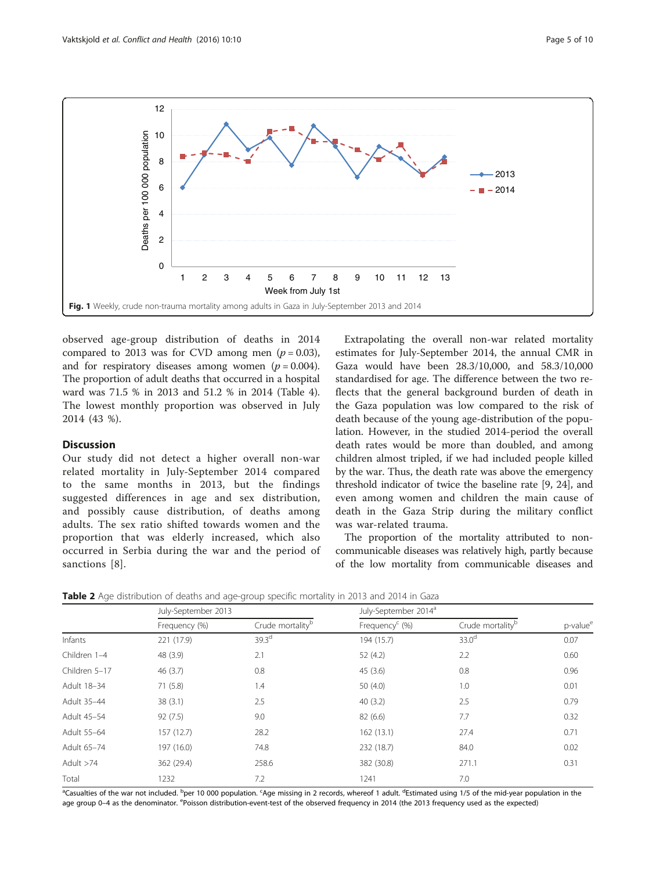<span id="page-4-0"></span>

observed age-group distribution of deaths in 2014 compared to 2013 was for CVD among men  $(p = 0.03)$ , and for respiratory diseases among women  $(p = 0.004)$ . The proportion of adult deaths that occurred in a hospital ward was 71.5 % in 2013 and 51.2 % in 2014 (Table [4](#page-5-0)). The lowest monthly proportion was observed in July 2014 (43 %).

## **Discussion**

Our study did not detect a higher overall non-war related mortality in July-September 2014 compared to the same months in 2013, but the findings suggested differences in age and sex distribution, and possibly cause distribution, of deaths among adults. The sex ratio shifted towards women and the proportion that was elderly increased, which also occurred in Serbia during the war and the period of sanctions [[8\]](#page-8-0).

Extrapolating the overall non-war related mortality estimates for July-September 2014, the annual CMR in Gaza would have been 28.3/10,000, and 58.3/10,000 standardised for age. The difference between the two reflects that the general background burden of death in the Gaza population was low compared to the risk of death because of the young age-distribution of the population. However, in the studied 2014-period the overall death rates would be more than doubled, and among children almost tripled, if we had included people killed by the war. Thus, the death rate was above the emergency threshold indicator of twice the baseline rate [[9, 24\]](#page-8-0), and even among women and children the main cause of death in the Gaza Strip during the military conflict was war-related trauma.

The proportion of the mortality attributed to noncommunicable diseases was relatively high, partly because of the low mortality from communicable diseases and

|               | July-September 2013 |                              | July-September 2014 <sup>a</sup> |                              |                      |
|---------------|---------------------|------------------------------|----------------------------------|------------------------------|----------------------|
|               | Frequency (%)       | Crude mortality <sup>b</sup> | Frequency $C$ (%)                | Crude mortality <sup>b</sup> | p-value <sup>e</sup> |
| Infants       | 221 (17.9)          | 39.3 <sup>d</sup>            | 194 (15.7)                       | 33.0 <sup>d</sup>            | 0.07                 |
| Children 1-4  | 48 (3.9)            | 2.1                          | 52 (4.2)                         | 2.2                          | 0.60                 |
| Children 5-17 | 46(3.7)             | 0.8                          | 45(3.6)                          | 0.8                          | 0.96                 |
| Adult 18-34   | 71(5.8)             | 1.4                          | 50 $(4.0)$                       | 1.0                          | 0.01                 |
| Adult 35-44   | 38(3.1)             | 2.5                          | 40(3.2)                          | 2.5                          | 0.79                 |
| Adult 45-54   | 92(7.5)             | 9.0                          | 82 (6.6)                         | 7.7                          | 0.32                 |
| Adult 55-64   | 157 (12.7)          | 28.2                         | 162(13.1)                        | 27.4                         | 0.71                 |
| Adult 65-74   | 197 (16.0)          | 74.8                         | 232 (18.7)                       | 84.0                         | 0.02                 |
| Adult >74     | 362 (29.4)          | 258.6                        | 382 (30.8)                       | 271.1                        | 0.31                 |
| Total         | 1232                | 7.2                          | 1241                             | 7.0                          |                      |

**Table 2** Age distribution of deaths and age-group specific mortality in 2013 and 2014 in Gaza

<sup>a</sup>Casualties of the war not included. <sup>b</sup>per 10 000 population. <sup>c</sup>Age missing in 2 records, whereof 1 adult. <sup>d</sup>Estimated using 1/5 of the mid-year population in the age group 0-4 as the denominator. <sup>e</sup>Poisson distribution-event-test of the observed frequency in 2014 (the 2013 frequency used as the expected)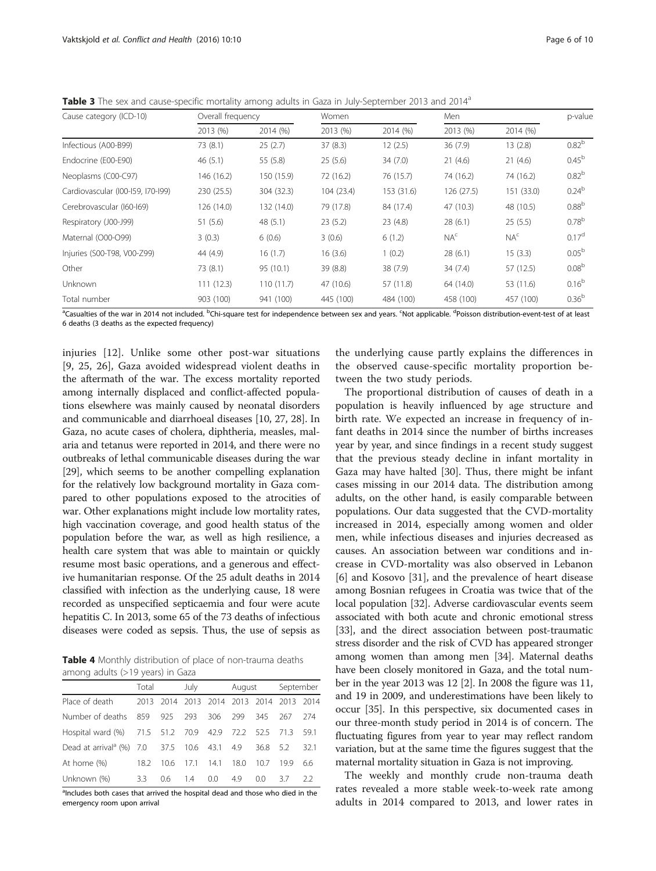<span id="page-5-0"></span>Table 3 The sex and cause-specific mortality among adults in Gaza in July-September 2013 and 2014<sup>a</sup>

| Cause category (ICD-10)           | Overall frequency |            | Women      |            |                 | Men             |                   |
|-----------------------------------|-------------------|------------|------------|------------|-----------------|-----------------|-------------------|
|                                   | 2013 (%)          | 2014 (%)   | 2013 (%)   | 2014 (%)   | 2013 (%)        | 2014 (%)        |                   |
| Infectious (A00-B99)              | 73 (8.1)          | 25(2.7)    | 37(8.3)    | 12(2.5)    | 36(7.9)         | 13(2.8)         | $0.82^{b}$        |
| Endocrine (E00-E90)               | 46(5.1)           | 55 (5.8)   | 25(5.6)    | 34(7.0)    | 21(4.6)         | 21(4.6)         | $0.45^{b}$        |
| Neoplasms (C00-C97)               | 146 (16.2)        | 150 (15.9) | 72 (16.2)  | 76 (15.7)  | 74 (16.2)       | 74 (16.2)       | $0.82^{b}$        |
| Cardiovascular (I00-159, 170-199) | 230 (25.5)        | 304 (32.3) | 104 (23.4) | 153 (31.6) | 126 (27.5)      | 151 (33.0)      | $0.24^{b}$        |
| Cerebrovascular (160-169)         | 126 (14.0)        | 132 (14.0) | 79 (17.8)  | 84 (17.4)  | 47 (10.3)       | 48 (10.5)       | 0.88 <sup>b</sup> |
| Respiratory (J00-J99)             | 51 (5.6)          | 48(5.1)    | 23(5.2)    | 23(4.8)    | 28(6.1)         | 25(5.5)         | $0.78^{b}$        |
| Maternal (O00-O99)                | 3(0.3)            | 6(0.6)     | 3(0.6)     | 6(1.2)     | NA <sup>c</sup> | NA <sup>c</sup> | 0.17 <sup>d</sup> |
| Injuries (S00-T98, V00-Z99)       | 44 (4.9)          | 16(1.7)    | 16(3.6)    | 1(0.2)     | 28(6.1)         | 15(3.3)         | 0.05 <sup>b</sup> |
| Other                             | 73 (8.1)          | 95 (10.1)  | 39 (8.8)   | 38 (7.9)   | 34(7.4)         | 57 (12.5)       | 0.08 <sup>b</sup> |
| Unknown                           | 111(12.3)         | 110(11.7)  | 47 (10.6)  | 57 (11.8)  | 64 (14.0)       | 53 (11.6)       | $0.16^{b}$        |
| Total number                      | 903 (100)         | 941 (100)  | 445 (100)  | 484 (100)  | 458 (100)       | 457 (100)       | 0.36 <sup>b</sup> |

<sup>a</sup>Casualties of the war in 2014 not included. <sup>b</sup>Chi-square test for independence between sex and years. <sup>c</sup>Not applicable. <sup>d</sup>Poisson distribution-event-test of at least 6 deaths (3 deaths as the expected frequency)

injuries [[12\]](#page-8-0). Unlike some other post-war situations [[9, 25](#page-8-0), [26\]](#page-8-0), Gaza avoided widespread violent deaths in the aftermath of the war. The excess mortality reported among internally displaced and conflict-affected populations elsewhere was mainly caused by neonatal disorders and communicable and diarrhoeal diseases [\[10, 27](#page-8-0), [28\]](#page-8-0). In Gaza, no acute cases of cholera, diphtheria, measles, malaria and tetanus were reported in 2014, and there were no outbreaks of lethal communicable diseases during the war [[29](#page-9-0)], which seems to be another compelling explanation for the relatively low background mortality in Gaza compared to other populations exposed to the atrocities of war. Other explanations might include low mortality rates, high vaccination coverage, and good health status of the population before the war, as well as high resilience, a health care system that was able to maintain or quickly resume most basic operations, and a generous and effective humanitarian response. Of the 25 adult deaths in 2014 classified with infection as the underlying cause, 18 were recorded as unspecified septicaemia and four were acute hepatitis C. In 2013, some 65 of the 73 deaths of infectious diseases were coded as sepsis. Thus, the use of sepsis as

Table 4 Monthly distribution of place of non-trauma deaths among adults (>19 years) in Gaza

|                                                         | Total |                                         | July<br>August |      | September |          |     |      |
|---------------------------------------------------------|-------|-----------------------------------------|----------------|------|-----------|----------|-----|------|
| Place of death                                          |       | 2013 2014 2013 2014 2013 2014 2013 2014 |                |      |           |          |     |      |
| Number of deaths 859 925 293 306                        |       |                                         |                |      | 299       | 345      | 267 | 274  |
| Hospital ward (%) 71.5 51.2 70.9 42.9 72.2 52.5 71.3    |       |                                         |                |      |           |          |     | 59.1 |
| Dead at arrival <sup>a</sup> (%) 7.0 37.5 10.6 43.1 4.9 |       |                                         |                |      |           | 36.8 5.2 |     | 32.1 |
| At home (%)                                             | 18.2  | 10.6                                    | 17.1           | 14.1 | 18.0      | 10.7     | 199 | 6.6  |
| Unknown (%)                                             | 3.3   | 0.6                                     | 1.4            | 0.0  | 4.9       | 0.0      | 37  | 22   |

<sup>a</sup>Includes both cases that arrived the hospital dead and those who died in the emergency room upon arrival

the underlying cause partly explains the differences in the observed cause-specific mortality proportion between the two study periods.

The proportional distribution of causes of death in a population is heavily influenced by age structure and birth rate. We expected an increase in frequency of infant deaths in 2014 since the number of births increases year by year, and since findings in a recent study suggest that the previous steady decline in infant mortality in Gaza may have halted [[30](#page-9-0)]. Thus, there might be infant cases missing in our 2014 data. The distribution among adults, on the other hand, is easily comparable between populations. Our data suggested that the CVD-mortality increased in 2014, especially among women and older men, while infectious diseases and injuries decreased as causes. An association between war conditions and increase in CVD-mortality was also observed in Lebanon [[6\]](#page-8-0) and Kosovo [\[31](#page-9-0)], and the prevalence of heart disease among Bosnian refugees in Croatia was twice that of the local population [[32](#page-9-0)]. Adverse cardiovascular events seem associated with both acute and chronic emotional stress [[33](#page-9-0)], and the direct association between post-traumatic stress disorder and the risk of CVD has appeared stronger among women than among men [[34\]](#page-9-0). Maternal deaths have been closely monitored in Gaza, and the total number in the year 2013 was 12 [\[2](#page-8-0)]. In 2008 the figure was 11, and 19 in 2009, and underestimations have been likely to occur [[35](#page-9-0)]. In this perspective, six documented cases in our three-month study period in 2014 is of concern. The fluctuating figures from year to year may reflect random variation, but at the same time the figures suggest that the maternal mortality situation in Gaza is not improving.

The weekly and monthly crude non-trauma death rates revealed a more stable week-to-week rate among adults in 2014 compared to 2013, and lower rates in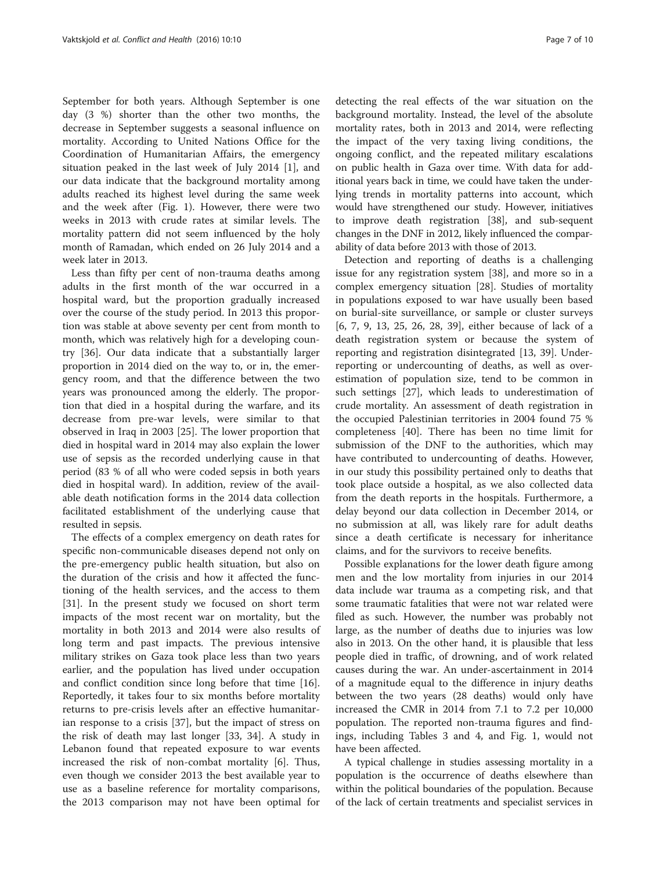September for both years. Although September is one day (3 %) shorter than the other two months, the decrease in September suggests a seasonal influence on mortality. According to United Nations Office for the Coordination of Humanitarian Affairs, the emergency situation peaked in the last week of July 2014 [[1\]](#page-8-0), and our data indicate that the background mortality among adults reached its highest level during the same week and the week after (Fig. [1\)](#page-4-0). However, there were two weeks in 2013 with crude rates at similar levels. The mortality pattern did not seem influenced by the holy month of Ramadan, which ended on 26 July 2014 and a week later in 2013.

Less than fifty per cent of non-trauma deaths among adults in the first month of the war occurred in a hospital ward, but the proportion gradually increased over the course of the study period. In 2013 this proportion was stable at above seventy per cent from month to month, which was relatively high for a developing country [[36](#page-9-0)]. Our data indicate that a substantially larger proportion in 2014 died on the way to, or in, the emergency room, and that the difference between the two years was pronounced among the elderly. The proportion that died in a hospital during the warfare, and its decrease from pre-war levels, were similar to that observed in Iraq in 2003 [[25\]](#page-8-0). The lower proportion that died in hospital ward in 2014 may also explain the lower use of sepsis as the recorded underlying cause in that period (83 % of all who were coded sepsis in both years died in hospital ward). In addition, review of the available death notification forms in the 2014 data collection facilitated establishment of the underlying cause that resulted in sepsis.

The effects of a complex emergency on death rates for specific non-communicable diseases depend not only on the pre-emergency public health situation, but also on the duration of the crisis and how it affected the functioning of the health services, and the access to them [[31\]](#page-9-0). In the present study we focused on short term impacts of the most recent war on mortality, but the mortality in both 2013 and 2014 were also results of long term and past impacts. The previous intensive military strikes on Gaza took place less than two years earlier, and the population has lived under occupation and conflict condition since long before that time [\[16](#page-8-0)]. Reportedly, it takes four to six months before mortality returns to pre-crisis levels after an effective humanitarian response to a crisis [[37\]](#page-9-0), but the impact of stress on the risk of death may last longer [[33, 34](#page-9-0)]. A study in Lebanon found that repeated exposure to war events increased the risk of non-combat mortality [[6\]](#page-8-0). Thus, even though we consider 2013 the best available year to use as a baseline reference for mortality comparisons, the 2013 comparison may not have been optimal for

detecting the real effects of the war situation on the background mortality. Instead, the level of the absolute mortality rates, both in 2013 and 2014, were reflecting the impact of the very taxing living conditions, the ongoing conflict, and the repeated military escalations on public health in Gaza over time. With data for additional years back in time, we could have taken the underlying trends in mortality patterns into account, which would have strengthened our study. However, initiatives to improve death registration [[38](#page-9-0)], and sub-sequent changes in the DNF in 2012, likely influenced the comparability of data before 2013 with those of 2013.

Detection and reporting of deaths is a challenging issue for any registration system [[38\]](#page-9-0), and more so in a complex emergency situation [\[28](#page-8-0)]. Studies of mortality in populations exposed to war have usually been based on burial-site surveillance, or sample or cluster surveys [[6, 7](#page-8-0), [9](#page-8-0), [13](#page-8-0), [25, 26, 28,](#page-8-0) [39](#page-9-0)], either because of lack of a death registration system or because the system of reporting and registration disintegrated [[13,](#page-8-0) [39](#page-9-0)]. Underreporting or undercounting of deaths, as well as overestimation of population size, tend to be common in such settings [[27](#page-8-0)], which leads to underestimation of crude mortality. An assessment of death registration in the occupied Palestinian territories in 2004 found 75 % completeness [\[40](#page-9-0)]. There has been no time limit for submission of the DNF to the authorities, which may have contributed to undercounting of deaths. However, in our study this possibility pertained only to deaths that took place outside a hospital, as we also collected data from the death reports in the hospitals. Furthermore, a delay beyond our data collection in December 2014, or no submission at all, was likely rare for adult deaths since a death certificate is necessary for inheritance claims, and for the survivors to receive benefits.

Possible explanations for the lower death figure among men and the low mortality from injuries in our 2014 data include war trauma as a competing risk, and that some traumatic fatalities that were not war related were filed as such. However, the number was probably not large, as the number of deaths due to injuries was low also in 2013. On the other hand, it is plausible that less people died in traffic, of drowning, and of work related causes during the war. An under-ascertainment in 2014 of a magnitude equal to the difference in injury deaths between the two years (28 deaths) would only have increased the CMR in 2014 from 7.1 to 7.2 per 10,000 population. The reported non-trauma figures and findings, including Tables [3](#page-5-0) and [4,](#page-5-0) and Fig. [1,](#page-4-0) would not have been affected.

A typical challenge in studies assessing mortality in a population is the occurrence of deaths elsewhere than within the political boundaries of the population. Because of the lack of certain treatments and specialist services in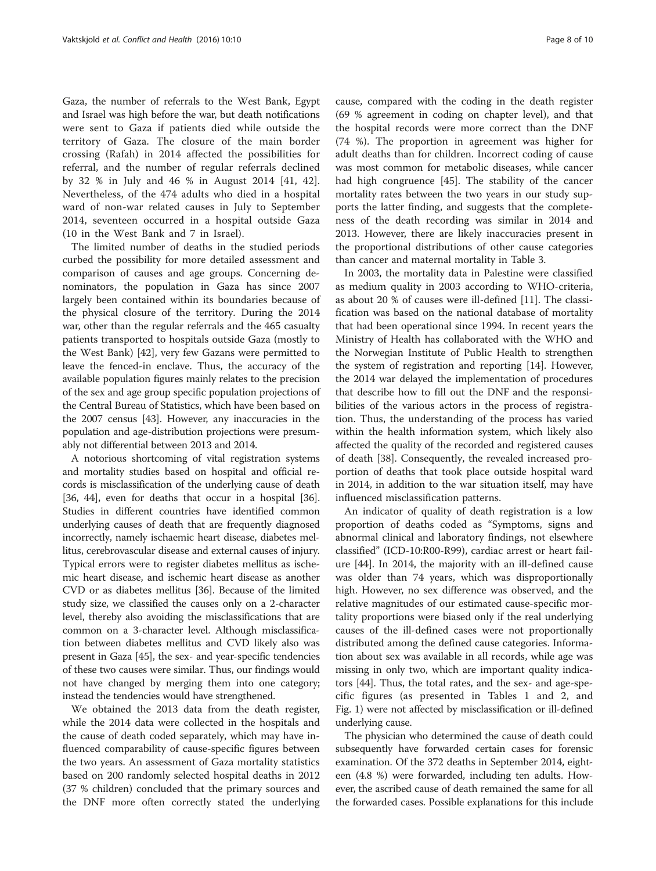Gaza, the number of referrals to the West Bank, Egypt and Israel was high before the war, but death notifications were sent to Gaza if patients died while outside the territory of Gaza. The closure of the main border crossing (Rafah) in 2014 affected the possibilities for referral, and the number of regular referrals declined by 32 % in July and 46 % in August 2014 [[41, 42](#page-9-0)]. Nevertheless, of the 474 adults who died in a hospital ward of non-war related causes in July to September 2014, seventeen occurred in a hospital outside Gaza (10 in the West Bank and 7 in Israel).

The limited number of deaths in the studied periods curbed the possibility for more detailed assessment and comparison of causes and age groups. Concerning denominators, the population in Gaza has since 2007 largely been contained within its boundaries because of the physical closure of the territory. During the 2014 war, other than the regular referrals and the 465 casualty patients transported to hospitals outside Gaza (mostly to the West Bank) [[42](#page-9-0)], very few Gazans were permitted to leave the fenced-in enclave. Thus, the accuracy of the available population figures mainly relates to the precision of the sex and age group specific population projections of the Central Bureau of Statistics, which have been based on the 2007 census [\[43\]](#page-9-0). However, any inaccuracies in the population and age-distribution projections were presumably not differential between 2013 and 2014.

A notorious shortcoming of vital registration systems and mortality studies based on hospital and official records is misclassification of the underlying cause of death [[36](#page-9-0), [44](#page-9-0)], even for deaths that occur in a hospital [36]. Studies in different countries have identified common underlying causes of death that are frequently diagnosed incorrectly, namely ischaemic heart disease, diabetes mellitus, cerebrovascular disease and external causes of injury. Typical errors were to register diabetes mellitus as ischemic heart disease, and ischemic heart disease as another CVD or as diabetes mellitus [\[36\]](#page-9-0). Because of the limited study size, we classified the causes only on a 2-character level, thereby also avoiding the misclassifications that are common on a 3-character level. Although misclassification between diabetes mellitus and CVD likely also was present in Gaza [[45](#page-9-0)], the sex- and year-specific tendencies of these two causes were similar. Thus, our findings would not have changed by merging them into one category; instead the tendencies would have strengthened.

We obtained the 2013 data from the death register, while the 2014 data were collected in the hospitals and the cause of death coded separately, which may have influenced comparability of cause-specific figures between the two years. An assessment of Gaza mortality statistics based on 200 randomly selected hospital deaths in 2012 (37 % children) concluded that the primary sources and the DNF more often correctly stated the underlying cause, compared with the coding in the death register (69 % agreement in coding on chapter level), and that the hospital records were more correct than the DNF (74 %). The proportion in agreement was higher for adult deaths than for children. Incorrect coding of cause was most common for metabolic diseases, while cancer had high congruence [[45\]](#page-9-0). The stability of the cancer mortality rates between the two years in our study supports the latter finding, and suggests that the completeness of the death recording was similar in 2014 and 2013. However, there are likely inaccuracies present in the proportional distributions of other cause categories than cancer and maternal mortality in Table [3.](#page-5-0)

In 2003, the mortality data in Palestine were classified as medium quality in 2003 according to WHO-criteria, as about 20 % of causes were ill-defined [[11\]](#page-8-0). The classification was based on the national database of mortality that had been operational since 1994. In recent years the Ministry of Health has collaborated with the WHO and the Norwegian Institute of Public Health to strengthen the system of registration and reporting [\[14\]](#page-8-0). However, the 2014 war delayed the implementation of procedures that describe how to fill out the DNF and the responsibilities of the various actors in the process of registration. Thus, the understanding of the process has varied within the health information system, which likely also affected the quality of the recorded and registered causes of death [\[38](#page-9-0)]. Consequently, the revealed increased proportion of deaths that took place outside hospital ward in 2014, in addition to the war situation itself, may have influenced misclassification patterns.

An indicator of quality of death registration is a low proportion of deaths coded as "Symptoms, signs and abnormal clinical and laboratory findings, not elsewhere classified" (ICD-10:R00-R99), cardiac arrest or heart failure [\[44\]](#page-9-0). In 2014, the majority with an ill-defined cause was older than 74 years, which was disproportionally high. However, no sex difference was observed, and the relative magnitudes of our estimated cause-specific mortality proportions were biased only if the real underlying causes of the ill-defined cases were not proportionally distributed among the defined cause categories. Information about sex was available in all records, while age was missing in only two, which are important quality indicators [[44](#page-9-0)]. Thus, the total rates, and the sex- and age-specific figures (as presented in Tables [1](#page-3-0) and [2,](#page-4-0) and Fig. [1\)](#page-4-0) were not affected by misclassification or ill-defined underlying cause.

The physician who determined the cause of death could subsequently have forwarded certain cases for forensic examination. Of the 372 deaths in September 2014, eighteen (4.8 %) were forwarded, including ten adults. However, the ascribed cause of death remained the same for all the forwarded cases. Possible explanations for this include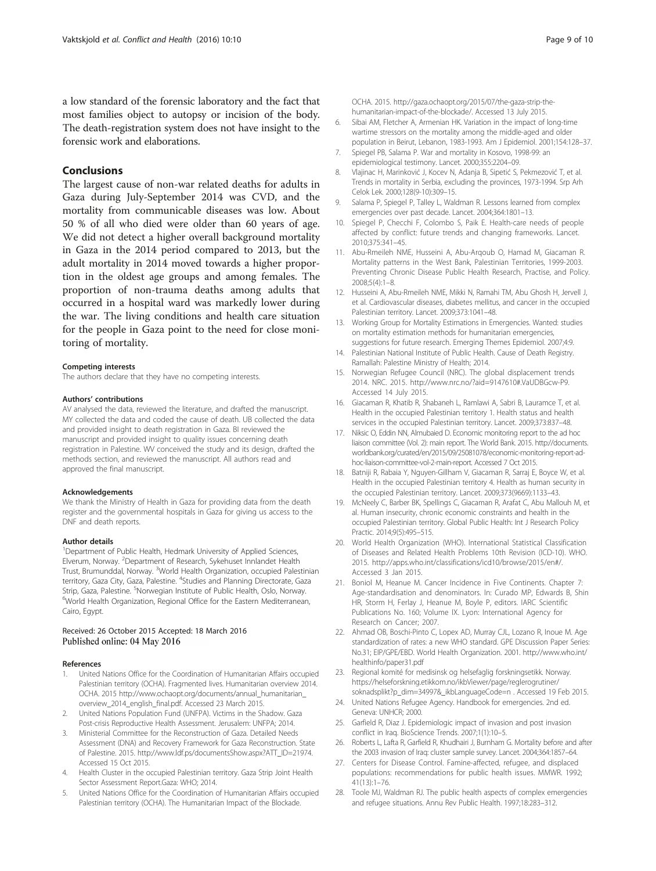<span id="page-8-0"></span>a low standard of the forensic laboratory and the fact that most families object to autopsy or incision of the body. The death-registration system does not have insight to the forensic work and elaborations.

## Conclusions

The largest cause of non-war related deaths for adults in Gaza during July-September 2014 was CVD, and the mortality from communicable diseases was low. About 50 % of all who died were older than 60 years of age. We did not detect a higher overall background mortality in Gaza in the 2014 period compared to 2013, but the adult mortality in 2014 moved towards a higher proportion in the oldest age groups and among females. The proportion of non-trauma deaths among adults that occurred in a hospital ward was markedly lower during the war. The living conditions and health care situation for the people in Gaza point to the need for close monitoring of mortality.

#### Competing interests

The authors declare that they have no competing interests.

#### Authors' contributions

AV analysed the data, reviewed the literature, and drafted the manuscript. MY collected the data and coded the cause of death. UB collected the data and provided insight to death registration in Gaza. BI reviewed the manuscript and provided insight to quality issues concerning death registration in Palestine. WV conceived the study and its design, drafted the methods section, and reviewed the manuscript. All authors read and approved the final manuscript.

#### Acknowledgements

We thank the Ministry of Health in Gaza for providing data from the death register and the governmental hospitals in Gaza for giving us access to the DNF and death reports.

#### Author details

<sup>1</sup>Department of Public Health, Hedmark University of Applied Sciences, Elverum, Norway. <sup>2</sup>Department of Research, Sykehuset Innlandet Health Trust, Brumunddal, Norway. <sup>3</sup>World Health Organization, occupied Palestinian territory, Gaza City, Gaza, Palestine. <sup>4</sup>Studies and Planning Directorate, Gaza Strip, Gaza, Palestine. <sup>5</sup>Norwegian Institute of Public Health, Oslo, Norway.<br><sup>6</sup>World Health Organization, Posional Office for the Eastern Mediterranea <sup>6</sup>World Health Organization, Regional Office for the Eastern Mediterranean, Cairo, Egypt.

#### Received: 26 October 2015 Accepted: 18 March 2016 Published online: 04 May 2016

#### References

- 1. United Nations Office for the Coordination of Humanitarian Affairs occupied Palestinian territory (OCHA). Fragmented lives. Humanitarian overview 2014. OCHA. 2015 [http://www.ochaopt.org/documents/annual\\_humanitarian\\_](http://www.ochaopt.org/documents/annual_humanitarian_overview_2014_english_final.pdf) [overview\\_2014\\_english\\_final.pdf.](http://www.ochaopt.org/documents/annual_humanitarian_overview_2014_english_final.pdf) Accessed 23 March 2015.
- 2. United Nations Population Fund (UNFPA). Victims in the Shadow. Gaza Post-crisis Reproductive Health Assessment. Jerusalem: UNFPA; 2014.
- 3. Ministerial Committee for the Reconstruction of Gaza. Detailed Needs Assessment (DNA) and Recovery Framework for Gaza Reconstruction. State of Palestine. 2015. [http://www.ldf.ps/documentsShow.aspx?ATT\\_ID=21974.](http://www.ldf.ps/documentsShow.aspx?ATT_ID=21974) Accessed 15 Oct 2015.
- 4. Health Cluster in the occupied Palestinian territory. Gaza Strip Joint Health Sector Assessment Report.Gaza: WHO; 2014.
- 5. United Nations Office for the Coordination of Humanitarian Affairs occupied Palestinian territory (OCHA). The Humanitarian Impact of the Blockade.

OCHA. 2015. [http://gaza.ochaopt.org/2015/07/the-gaza-strip-the](http://gaza.ochaopt.org/2015/07/the-gaza-strip-the-humanitarian-impact-of-the-blockade/)[humanitarian-impact-of-the-blockade/](http://gaza.ochaopt.org/2015/07/the-gaza-strip-the-humanitarian-impact-of-the-blockade/). Accessed 13 July 2015.

- 6. Sibai AM, Fletcher A, Armenian HK. Variation in the impact of long-time wartime stressors on the mortality among the middle-aged and older population in Beirut, Lebanon, 1983-1993. Am J Epidemiol. 2001;154:128–37.
- 7. Spiegel PB, Salama P. War and mortality in Kosovo, 1998-99: an epidemiological testimony. Lancet. 2000;355:2204–09.
- 8. Vlajinac H, Marinković J, Kocev N, Adanja B, Sipetić S, Pekmezović T, et al. Trends in mortality in Serbia, excluding the provinces, 1973-1994. Srp Arh Celok Lek. 2000;128(9-10):309–15.
- 9. Salama P, Spiegel P, Talley L, Waldman R. Lessons learned from complex emergencies over past decade. Lancet. 2004;364:1801–13.
- 10. Spiegel P, Checchi F, Colombo S, Paik E. Health-care needs of people affected by conflict: future trends and changing frameworks. Lancet. 2010;375:341–45.
- 11. Abu-Rmeileh NME, Husseini A, Abu-Arqoub O, Hamad M, Giacaman R. Mortality patterns in the West Bank, Palestinian Territories, 1999-2003. Preventing Chronic Disease Public Health Research, Practise, and Policy. 2008;5(4):1–8.
- 12. Husseini A, Abu-Rmeileh NME, Mikki N, Ramahi TM, Abu Ghosh H, Jervell J, et al. Cardiovascular diseases, diabetes mellitus, and cancer in the occupied Palestinian territory. Lancet. 2009;373:1041–48.
- 13. Working Group for Mortality Estimations in Emergencies. Wanted: studies on mortality estimation methods for humanitarian emergencies, suggestions for future research. Emerging Themes Epidemiol. 2007;4:9.
- 14. Palestinian National Institute of Public Health. Cause of Death Registry. Ramallah: Palestine Ministry of Health; 2014.
- 15. Norwegian Refugee Council (NRC). The global displacement trends 2014. NRC. 2015. [http://www.nrc.no/?aid=9147610#.VaUDBGcw-P9.](http://www.nrc.no/?aid=9147610#.VaUDBGcw-P9) Accessed 14 July 2015.
- 16. Giacaman R, Khatib R, Shabaneh L, Ramlawi A, Sabri B, Lauramce T, et al. Health in the occupied Palestinian territory 1. Health status and health services in the occupied Palestinian territory. Lancet. 2009;373:837–48.
- 17. Niksic O, Eddin NN, Almubaied D. Economic monitoring report to the ad hoc liaison committee (Vol. 2): main report. The World Bank. 2015. [http://documents.](http://documents.worldbank.org/curated/en/2015/09/25081078/economic-monitoring-report-ad-hoc-liaison-committee-vol-2-main-report) [worldbank.org/curated/en/2015/09/25081078/economic-monitoring-report-ad](http://documents.worldbank.org/curated/en/2015/09/25081078/economic-monitoring-report-ad-hoc-liaison-committee-vol-2-main-report)[hoc-liaison-committee-vol-2-main-report.](http://documents.worldbank.org/curated/en/2015/09/25081078/economic-monitoring-report-ad-hoc-liaison-committee-vol-2-main-report) Accessed 7 Oct 2015.
- 18. Batniji R, Rabaia Y, Nguyen-Gillham V, Giacaman R, Sarraj E, Boyce W, et al. Health in the occupied Palestinian territory 4. Health as human security in the occupied Palestinian territory. Lancet. 2009;373(9669):1133–43.
- 19. McNeely C, Barber BK, Spellings C, Giacaman R, Arafat C, Abu Mallouh M, et al. Human insecurity, chronic economic constraints and health in the occupied Palestinian territory. Global Public Health: Int J Research Policy Practic. 2014;9(5):495–515.
- 20. World Health Organization (WHO). International Statistical Classification of Diseases and Related Health Problems 10th Revision (ICD-10). WHO. 2015. [http://apps.who.int/classifications/icd10/browse/2015/en#/.](http://apps.who.int/classifications/icd10/browse/2015/en#/) Accessed 3 Jan 2015.
- 21. Boniol M, Heanue M. Cancer Incidence in Five Continents. Chapter 7: Age-standardisation and denominators. In: Curado MP, Edwards B, Shin HR, Storm H, Ferlay J, Heanue M, Boyle P, editors. IARC Scientific Publications No. 160; Volume IX. Lyon: International Agency for Research on Cancer; 2007.
- 22. Ahmad OB, Boschi-Pinto C, Lopex AD, Murray CJL, Lozano R, Inoue M. Age standardization of rates: a new WHO standard. GPE Discussion Paper Series: No.31; EIP/GPE/EBD. World Health Organization. 2001. [http://www.who.int/](http://www.who.int/healthinfo/paper31.pdf) [healthinfo/paper31.pdf](http://www.who.int/healthinfo/paper31.pdf)
- 23. Regional komité for medisinsk og helsefaglig forskningsetikk. Norway. [https://helseforskning.etikkom.no/ikbViewer/page/reglerogrutiner/](https://helseforskning.etikkom.no/ikbViewer/page/reglerogrutiner/soknadsplikt?p_dim=34997&_ikbLanguageCode=n) [soknadsplikt?p\\_dim=34997&\\_ikbLanguageCode=n](https://helseforskning.etikkom.no/ikbViewer/page/reglerogrutiner/soknadsplikt?p_dim=34997&_ikbLanguageCode=n) . Accessed 19 Feb 2015.
- 24. United Nations Refugee Agency. Handbook for emergencies. 2nd ed. Geneva: UNHCR; 2000.
- 25. Garfield R, Diaz J. Epidemiologic impact of invasion and post invasion conflict in Iraq. BioScience Trends. 2007;1(1):10–5.
- 26. Roberts L, Lafta R, Garfield R, Khudhairi J, Burnham G. Mortality before and after the 2003 invasion of Iraq: cluster sample survey. Lancet. 2004;364:1857–64.
- 27. Centers for Disease Control. Famine-affected, refugee, and displaced populations: recommendations for public health issues. MMWR. 1992; 41(13):1–76.
- 28. Toole MJ, Waldman RJ. The public health aspects of complex emergencies and refugee situations. Annu Rev Public Health. 1997;18:283–312.